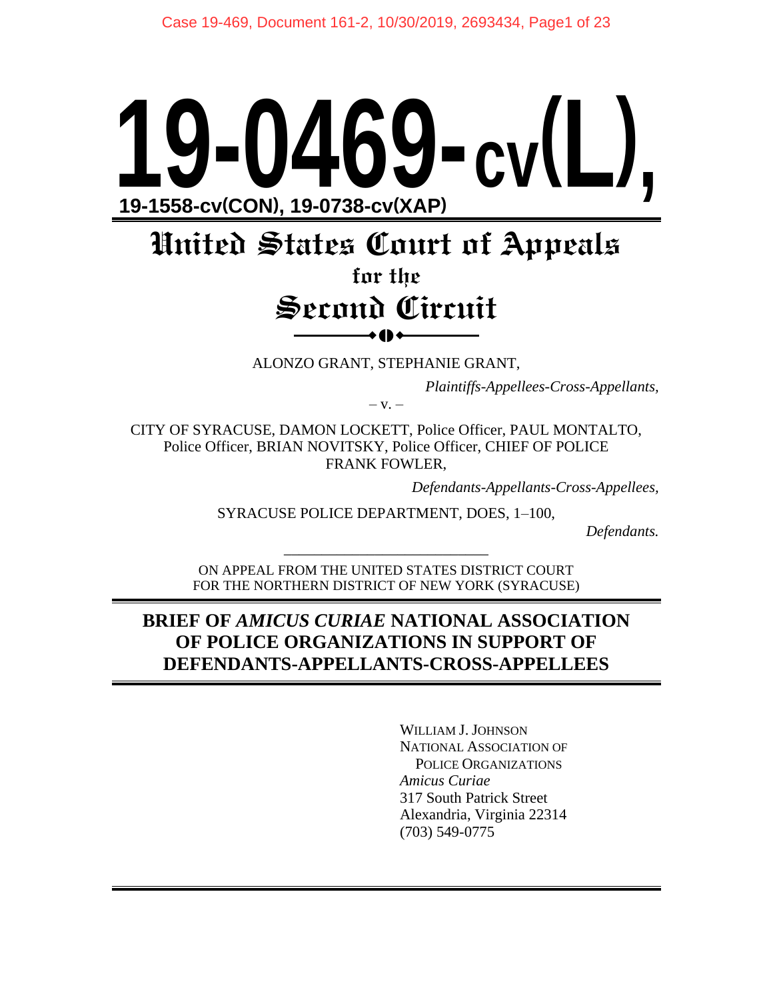# **19-0469-cv(L), 19-1558-cv(CON), 19-0738-cv(XAP)**

# **United States Court of Appeals**

# **for the Second Circuit**  $\bullet$  ()  $\bullet$

ALONZO GRANT, STEPHANIE GRANT,

*Plaintiffs-Appellees-Cross-Appellants,*

 $-V. -$ 

CITY OF SYRACUSE, DAMON LOCKETT, Police Officer, PAUL MONTALTO, Police Officer, BRIAN NOVITSKY, Police Officer, CHIEF OF POLICE FRANK FOWLER,

*Defendants-Appellants-Cross-Appellees,*

SYRACUSE POLICE DEPARTMENT, DOES, 1–100,

*Defendants.*

ON APPEAL FROM THE UNITED STATES DISTRICT COURT FOR THE NORTHERN DISTRICT OF NEW YORK (SYRACUSE)

\_\_\_\_\_\_\_\_\_\_\_\_\_\_\_\_\_\_\_\_\_\_\_\_\_\_\_

### **BRIEF OF** *AMICUS CURIAE* **NATIONAL ASSOCIATION OF POLICE ORGANIZATIONS IN SUPPORT OF DEFENDANTS-APPELLANTS-CROSS-APPELLEES**

WILLIAM J. JOHNSON NATIONAL ASSOCIATION OF POLICE ORGANIZATIONS *Amicus Curiae* 317 South Patrick Street Alexandria, Virginia 22314 (703) 549-0775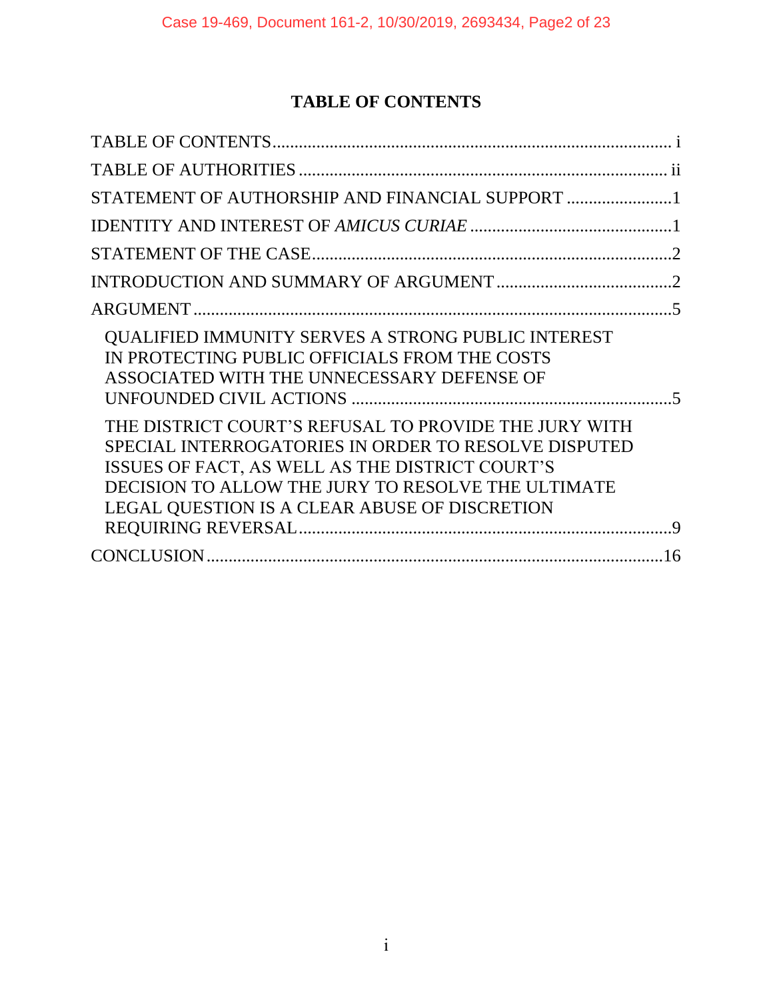# **TABLE OF CONTENTS**

| STATEMENT OF AUTHORSHIP AND FINANCIAL SUPPORT 1                                                                                                                                                                                                                         |  |
|-------------------------------------------------------------------------------------------------------------------------------------------------------------------------------------------------------------------------------------------------------------------------|--|
|                                                                                                                                                                                                                                                                         |  |
|                                                                                                                                                                                                                                                                         |  |
|                                                                                                                                                                                                                                                                         |  |
|                                                                                                                                                                                                                                                                         |  |
| <b>QUALIFIED IMMUNITY SERVES A STRONG PUBLIC INTEREST</b><br>IN PROTECTING PUBLIC OFFICIALS FROM THE COSTS<br>ASSOCIATED WITH THE UNNECESSARY DEFENSE OF                                                                                                                |  |
| THE DISTRICT COURT'S REFUSAL TO PROVIDE THE JURY WITH<br>SPECIAL INTERROGATORIES IN ORDER TO RESOLVE DISPUTED<br>ISSUES OF FACT, AS WELL AS THE DISTRICT COURT'S<br>DECISION TO ALLOW THE JURY TO RESOLVE THE ULTIMATE<br>LEGAL QUESTION IS A CLEAR ABUSE OF DISCRETION |  |
|                                                                                                                                                                                                                                                                         |  |
|                                                                                                                                                                                                                                                                         |  |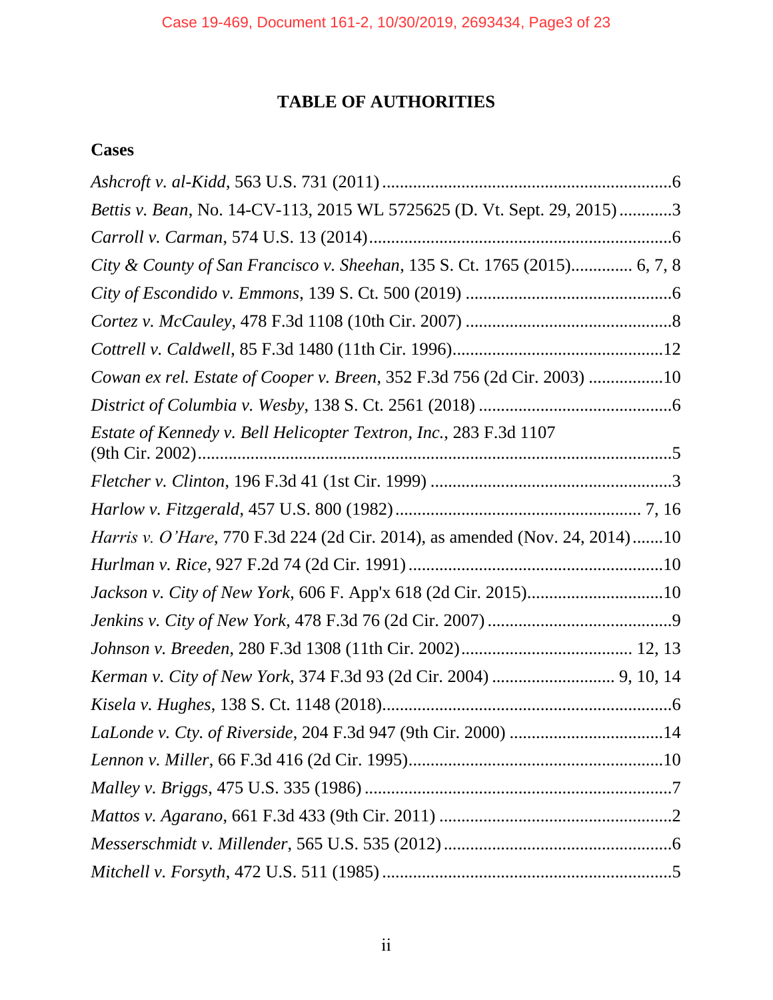## **TABLE OF AUTHORITIES**

## **Cases**

| Bettis v. Bean, No. 14-CV-113, 2015 WL 5725625 (D. Vt. Sept. 29, 2015)3            |
|------------------------------------------------------------------------------------|
|                                                                                    |
| City & County of San Francisco v. Sheehan, 135 S. Ct. 1765 (2015) 6, 7, 8          |
|                                                                                    |
|                                                                                    |
|                                                                                    |
| Cowan ex rel. Estate of Cooper v. Breen, 352 F.3d 756 (2d Cir. 2003) 10            |
|                                                                                    |
| Estate of Kennedy v. Bell Helicopter Textron, Inc., 283 F.3d 1107                  |
|                                                                                    |
|                                                                                    |
| <i>Harris v. O'Hare, 770 F.3d 224 (2d Cir. 2014), as amended (Nov. 24, 2014)10</i> |
|                                                                                    |
| Jackson v. City of New York, 606 F. App'x 618 (2d Cir. 2015)10                     |
|                                                                                    |
|                                                                                    |
| Kerman v. City of New York, 374 F.3d 93 (2d Cir. 2004)  9, 10, 14                  |
|                                                                                    |
|                                                                                    |
|                                                                                    |
|                                                                                    |
|                                                                                    |
|                                                                                    |
|                                                                                    |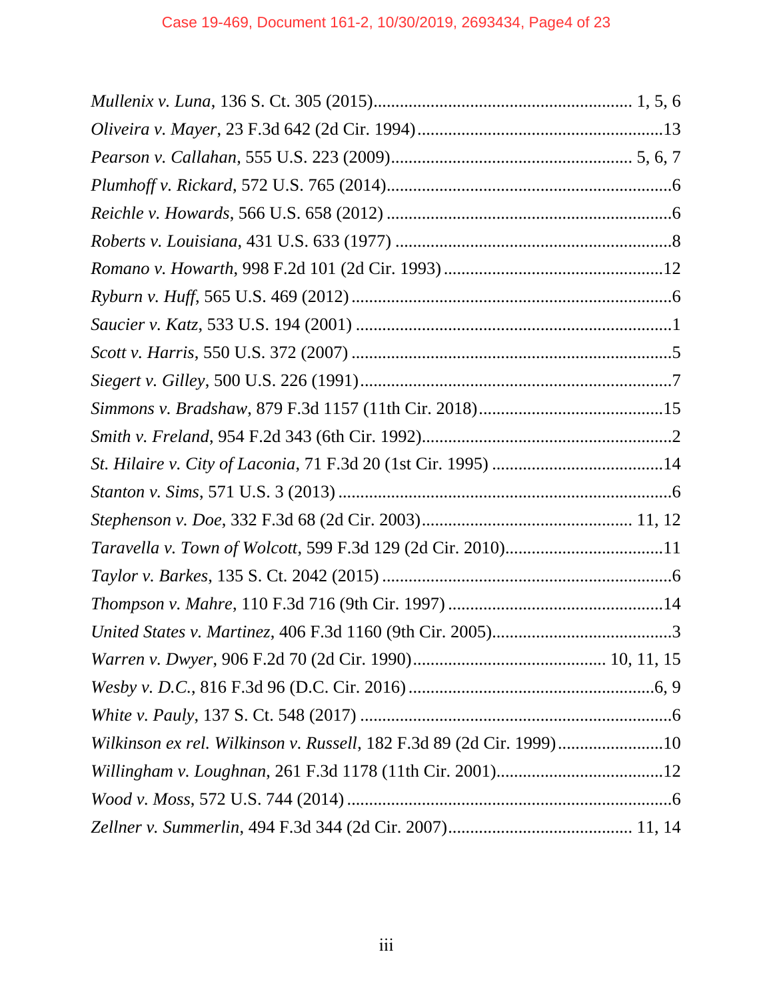| Taravella v. Town of Wolcott, 599 F.3d 129 (2d Cir. 2010)11          |  |
|----------------------------------------------------------------------|--|
|                                                                      |  |
|                                                                      |  |
|                                                                      |  |
|                                                                      |  |
|                                                                      |  |
|                                                                      |  |
| Wilkinson ex rel. Wilkinson v. Russell, 182 F.3d 89 (2d Cir. 1999)10 |  |
|                                                                      |  |
|                                                                      |  |
|                                                                      |  |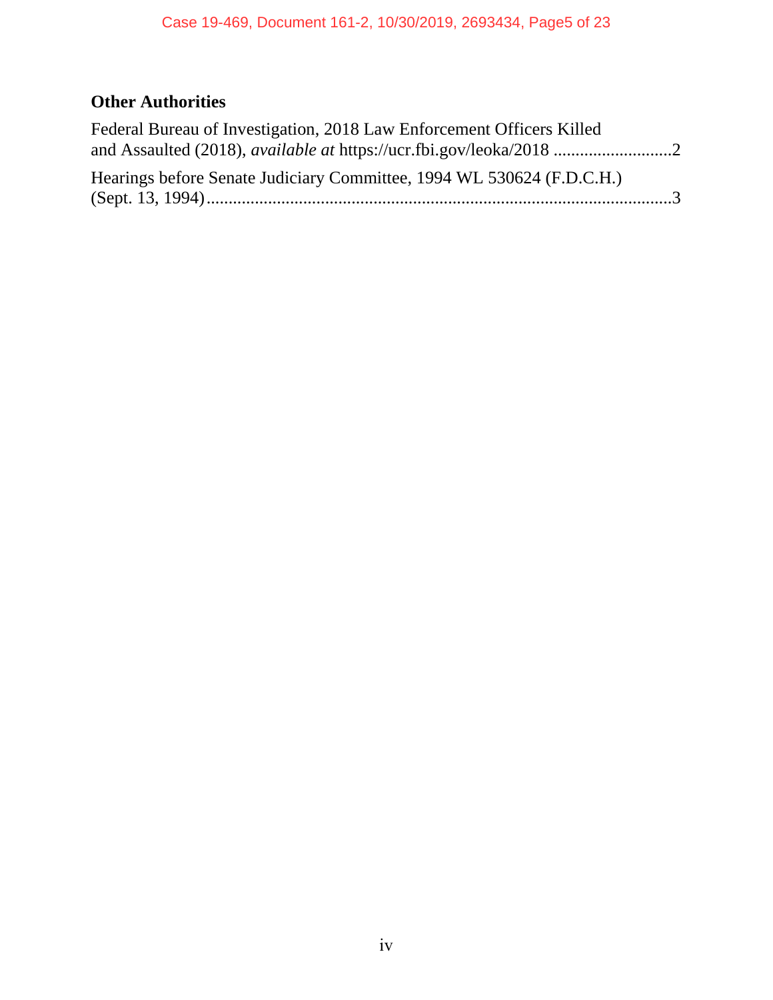# **Other Authorities**

| Hearings before Senate Judiciary Committee, 1994 WL 530624 (F.D.C.H.) |  |
|-----------------------------------------------------------------------|--|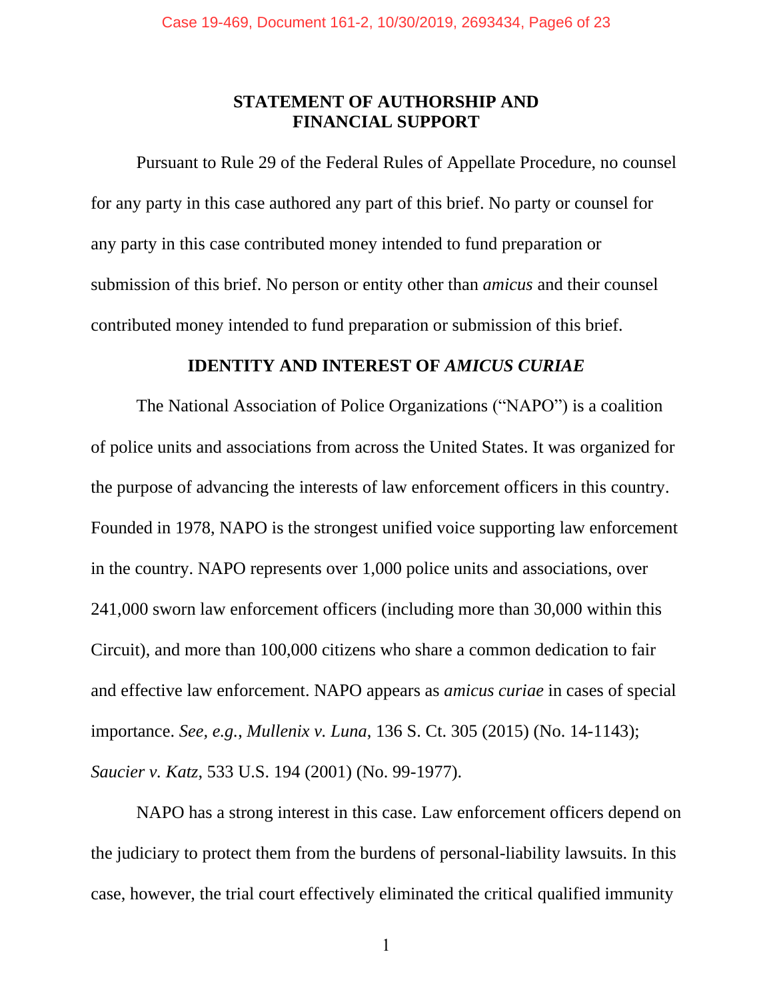#### **STATEMENT OF AUTHORSHIP AND FINANCIAL SUPPORT**

Pursuant to Rule 29 of the Federal Rules of Appellate Procedure, no counsel for any party in this case authored any part of this brief. No party or counsel for any party in this case contributed money intended to fund preparation or submission of this brief. No person or entity other than *amicus* and their counsel contributed money intended to fund preparation or submission of this brief.

#### **IDENTITY AND INTEREST OF** *AMICUS CURIAE*

The National Association of Police Organizations ("NAPO") is a coalition of police units and associations from across the United States. It was organized for the purpose of advancing the interests of law enforcement officers in this country. Founded in 1978, NAPO is the strongest unified voice supporting law enforcement in the country. NAPO represents over 1,000 police units and associations, over 241,000 sworn law enforcement officers (including more than 30,000 within this Circuit), and more than 100,000 citizens who share a common dedication to fair and effective law enforcement. NAPO appears as *amicus curiae* in cases of special importance. *See, e.g.*, *Mullenix v. Luna*, 136 S. Ct. 305 (2015) (No. 14-1143); *Saucier v. Katz*, 533 U.S. 194 (2001) (No. 99-1977).

NAPO has a strong interest in this case. Law enforcement officers depend on the judiciary to protect them from the burdens of personal-liability lawsuits. In this case, however, the trial court effectively eliminated the critical qualified immunity

1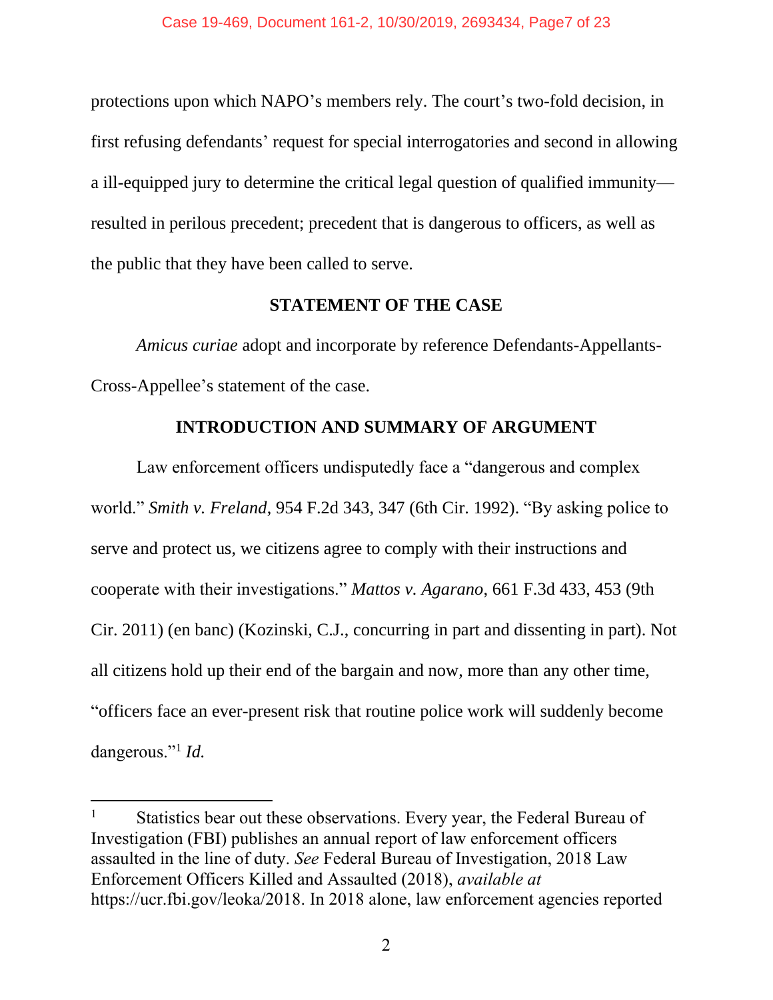protections upon which NAPO's members rely. The court's two-fold decision, in first refusing defendants' request for special interrogatories and second in allowing a ill-equipped jury to determine the critical legal question of qualified immunity resulted in perilous precedent; precedent that is dangerous to officers, as well as the public that they have been called to serve.

#### **STATEMENT OF THE CASE**

*Amicus curiae* adopt and incorporate by reference Defendants-Appellants-Cross-Appellee's statement of the case.

#### **INTRODUCTION AND SUMMARY OF ARGUMENT**

Law enforcement officers undisputedly face a "dangerous and complex world." *Smith v. Freland*, 954 F.2d 343, 347 (6th Cir. 1992). "By asking police to serve and protect us, we citizens agree to comply with their instructions and cooperate with their investigations." *Mattos v. Agarano*, 661 F.3d 433, 453 (9th Cir. 2011) (en banc) (Kozinski, C.J., concurring in part and dissenting in part). Not all citizens hold up their end of the bargain and now, more than any other time, "officers face an ever-present risk that routine police work will suddenly become dangerous."<sup>1</sup> *Id.*

 $\overline{\phantom{a}}$ 

Statistics bear out these observations. Every year, the Federal Bureau of Investigation (FBI) publishes an annual report of law enforcement officers assaulted in the line of duty. *See* Federal Bureau of Investigation, 2018 Law Enforcement Officers Killed and Assaulted (2018), *available at*  https://ucr.fbi.gov/leoka/2018. In 2018 alone, law enforcement agencies reported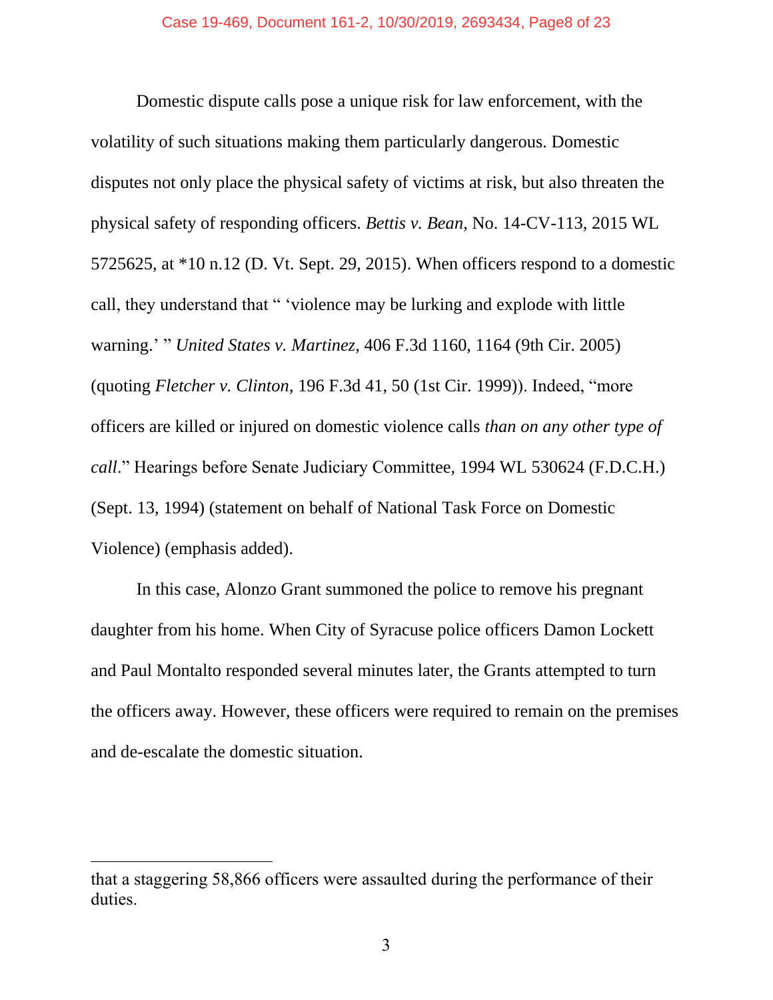Domestic dispute calls pose a unique risk for law enforcement, with the volatility of such situations making them particularly dangerous. Domestic disputes not only place the physical safety of victims at risk, but also threaten the physical safety of responding officers. *Bettis v. Bean*, No. 14-CV-113, 2015 WL 5725625, at \*10 n.12 (D. Vt. Sept. 29, 2015). When officers respond to a domestic call, they understand that " 'violence may be lurking and explode with little warning.' " *United States v. Martinez*, 406 F.3d 1160, 1164 (9th Cir. 2005) (quoting *Fletcher v. Clinton*, 196 F.3d 41, 50 (1st Cir. 1999)). Indeed, "more officers are killed or injured on domestic violence calls *than on any other type of call*." Hearings before Senate Judiciary Committee, 1994 WL 530624 (F.D.C.H.) (Sept. 13, 1994) (statement on behalf of National Task Force on Domestic Violence) (emphasis added).

In this case, Alonzo Grant summoned the police to remove his pregnant daughter from his home. When City of Syracuse police officers Damon Lockett and Paul Montalto responded several minutes later, the Grants attempted to turn the officers away. However, these officers were required to remain on the premises and de-escalate the domestic situation.

 $\overline{\phantom{a}}$ 

that a staggering 58,866 officers were assaulted during the performance of their duties.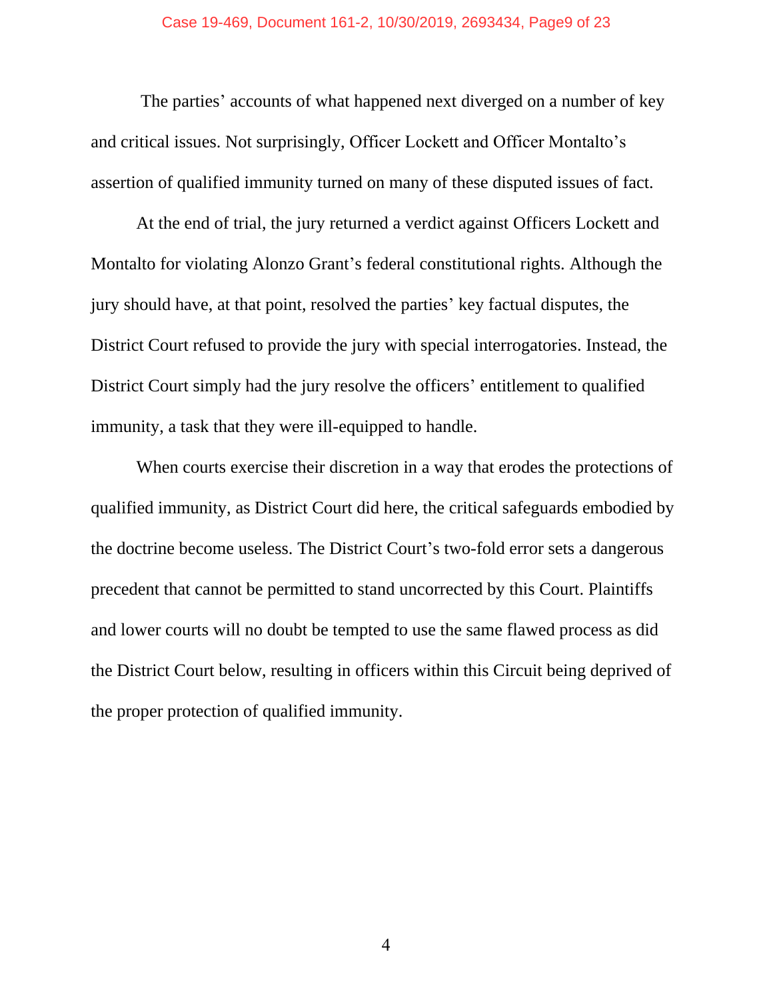The parties' accounts of what happened next diverged on a number of key and critical issues. Not surprisingly, Officer Lockett and Officer Montalto's assertion of qualified immunity turned on many of these disputed issues of fact.

At the end of trial, the jury returned a verdict against Officers Lockett and Montalto for violating Alonzo Grant's federal constitutional rights. Although the jury should have, at that point, resolved the parties' key factual disputes, the District Court refused to provide the jury with special interrogatories. Instead, the District Court simply had the jury resolve the officers' entitlement to qualified immunity, a task that they were ill-equipped to handle.

When courts exercise their discretion in a way that erodes the protections of qualified immunity, as District Court did here, the critical safeguards embodied by the doctrine become useless. The District Court's two-fold error sets a dangerous precedent that cannot be permitted to stand uncorrected by this Court. Plaintiffs and lower courts will no doubt be tempted to use the same flawed process as did the District Court below, resulting in officers within this Circuit being deprived of the proper protection of qualified immunity.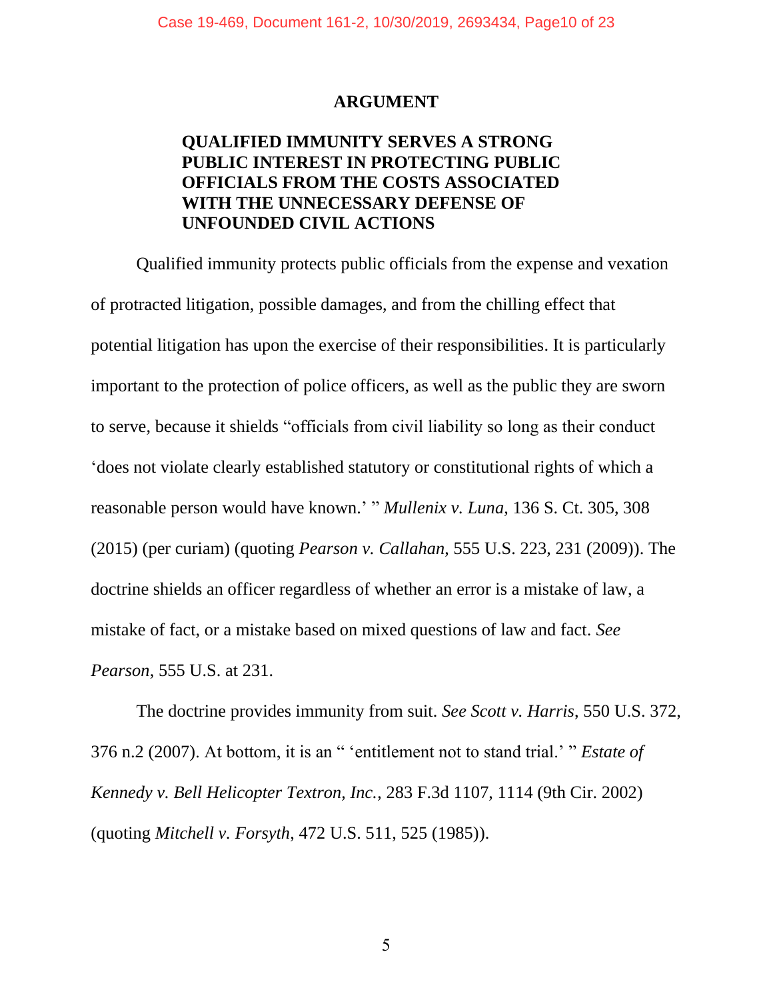#### **ARGUMENT**

#### **QUALIFIED IMMUNITY SERVES A STRONG PUBLIC INTEREST IN PROTECTING PUBLIC OFFICIALS FROM THE COSTS ASSOCIATED WITH THE UNNECESSARY DEFENSE OF UNFOUNDED CIVIL ACTIONS**

Qualified immunity protects public officials from the expense and vexation of protracted litigation, possible damages, and from the chilling effect that potential litigation has upon the exercise of their responsibilities. It is particularly important to the protection of police officers, as well as the public they are sworn to serve, because it shields "officials from civil liability so long as their conduct 'does not violate clearly established statutory or constitutional rights of which a reasonable person would have known.' " *Mullenix v. Luna*, 136 S. Ct. 305, 308 (2015) (per curiam) (quoting *Pearson v. Callahan*, 555 U.S. 223, 231 (2009)). The doctrine shields an officer regardless of whether an error is a mistake of law, a mistake of fact, or a mistake based on mixed questions of law and fact. *See Pearson*, 555 U.S. at 231.

The doctrine provides immunity from suit. *See Scott v. Harris*, 550 U.S. 372, 376 n.2 (2007). At bottom, it is an " 'entitlement not to stand trial.' " *Estate of Kennedy v. Bell Helicopter Textron, Inc.*, 283 F.3d 1107, 1114 (9th Cir. 2002) (quoting *Mitchell v. Forsyth*, 472 U.S. 511, 525 (1985)).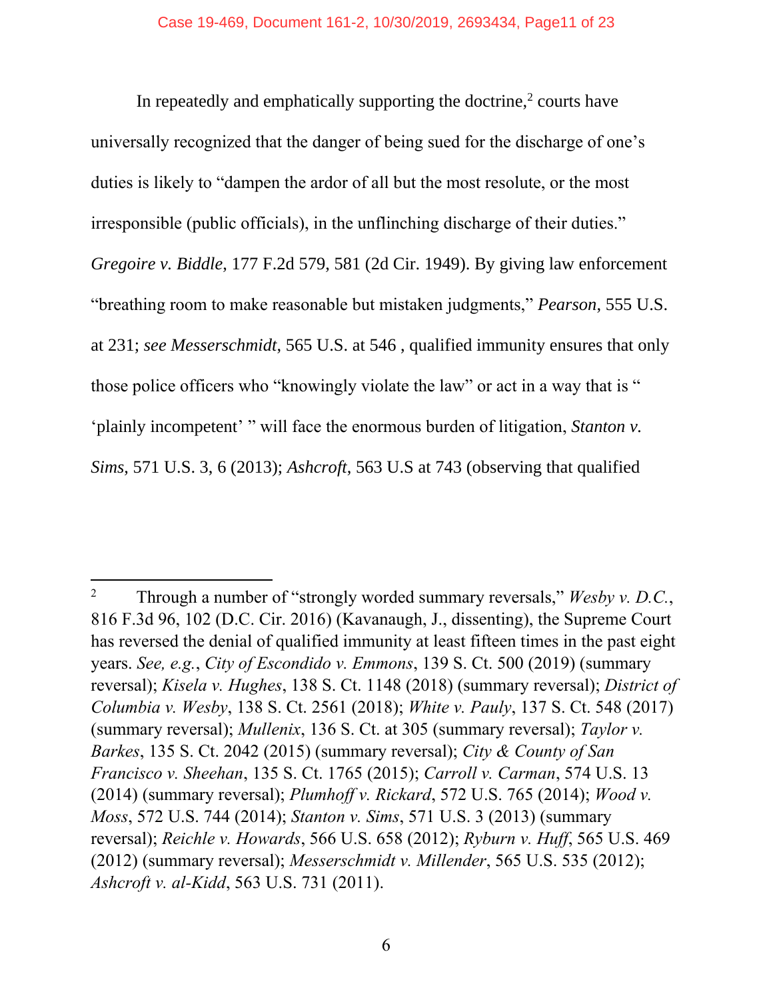In repeatedly and emphatically supporting the doctrine, $2$  courts have universally recognized that the danger of being sued for the discharge of one's duties is likely to "dampen the ardor of all but the most resolute, or the most irresponsible (public officials), in the unflinching discharge of their duties." *Gregoire v. Biddle*, 177 F.2d 579, 581 (2d Cir. 1949). By giving law enforcement "breathing room to make reasonable but mistaken judgments," *Pearson*, 555 U.S. at 231; *see Messerschmidt*, 565 U.S. at 546 , qualified immunity ensures that only those police officers who "knowingly violate the law" or act in a way that is " 'plainly incompetent' " will face the enormous burden of litigation, *Stanton v. Sims*, 571 U.S. 3, 6 (2013); *Ashcroft*, 563 U.S at 743 (observing that qualified

 $\overline{\phantom{a}}$ 

<sup>2</sup> Through a number of "strongly worded summary reversals," *Wesby v. D.C.*, 816 F.3d 96, 102 (D.C. Cir. 2016) (Kavanaugh, J., dissenting), the Supreme Court has reversed the denial of qualified immunity at least fifteen times in the past eight years. *See, e.g.*, *City of Escondido v. Emmons*, 139 S. Ct. 500 (2019) (summary reversal); *Kisela v. Hughes*, 138 S. Ct. 1148 (2018) (summary reversal); *District of Columbia v. Wesby*, 138 S. Ct. 2561 (2018); *White v. Pauly*, 137 S. Ct. 548 (2017) (summary reversal); *Mullenix*, 136 S. Ct. at 305 (summary reversal); *Taylor v. Barkes*, 135 S. Ct. 2042 (2015) (summary reversal); *City & County of San Francisco v. Sheehan*, 135 S. Ct. 1765 (2015); *Carroll v. Carman*, 574 U.S. 13 (2014) (summary reversal); *Plumhoff v. Rickard*, 572 U.S. 765 (2014); *Wood v. Moss*, 572 U.S. 744 (2014); *Stanton v. Sims*, 571 U.S. 3 (2013) (summary reversal); *Reichle v. Howards*, 566 U.S. 658 (2012); *Ryburn v. Huff*, 565 U.S. 469 (2012) (summary reversal); *Messerschmidt v. Millender*, 565 U.S. 535 (2012); *Ashcroft v. al-Kidd*, 563 U.S. 731 (2011).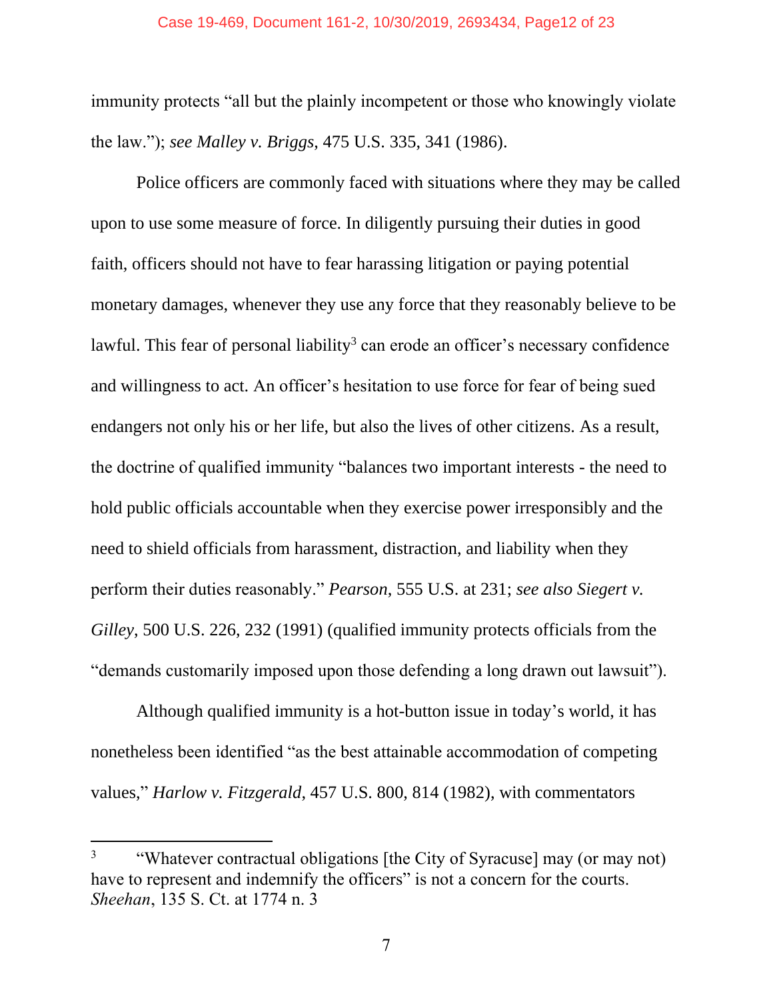immunity protects "all but the plainly incompetent or those who knowingly violate the law."); *see Malley v. Briggs*, 475 U.S. 335, 341 (1986).

Police officers are commonly faced with situations where they may be called upon to use some measure of force. In diligently pursuing their duties in good faith, officers should not have to fear harassing litigation or paying potential monetary damages, whenever they use any force that they reasonably believe to be lawful. This fear of personal liability<sup>3</sup> can erode an officer's necessary confidence and willingness to act. An officer's hesitation to use force for fear of being sued endangers not only his or her life, but also the lives of other citizens. As a result, the doctrine of qualified immunity "balances two important interests - the need to hold public officials accountable when they exercise power irresponsibly and the need to shield officials from harassment, distraction, and liability when they perform their duties reasonably." *Pearson*, 555 U.S. at 231; *see also Siegert v. Gilley*, 500 U.S. 226, 232 (1991) (qualified immunity protects officials from the "demands customarily imposed upon those defending a long drawn out lawsuit").

Although qualified immunity is a hot-button issue in today's world, it has nonetheless been identified "as the best attainable accommodation of competing values," *Harlow v. Fitzgerald*, 457 U.S. 800, 814 (1982), with commentators

 $\overline{\phantom{a}}$ 

<sup>3</sup> "Whatever contractual obligations [the City of Syracuse] may (or may not) have to represent and indemnify the officers" is not a concern for the courts. *Sheehan*, 135 S. Ct. at 1774 n. 3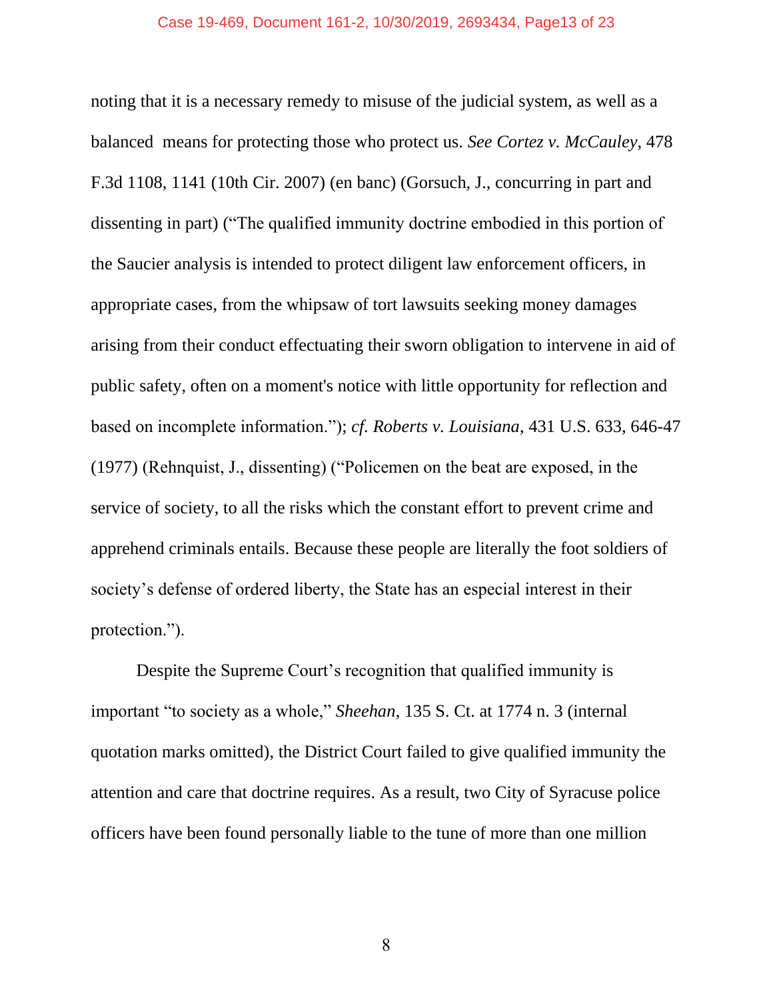#### Case 19-469, Document 161-2, 10/30/2019, 2693434, Page13 of 23

noting that it is a necessary remedy to misuse of the judicial system, as well as a balanced means for protecting those who protect us. *See Cortez v. McCauley*, 478 F.3d 1108, 1141 (10th Cir. 2007) (en banc) (Gorsuch, J., concurring in part and dissenting in part) ("The qualified immunity doctrine embodied in this portion of the Saucier analysis is intended to protect diligent law enforcement officers, in appropriate cases, from the whipsaw of tort lawsuits seeking money damages arising from their conduct effectuating their sworn obligation to intervene in aid of public safety, often on a moment's notice with little opportunity for reflection and based on incomplete information."); *cf. Roberts v. Louisiana*, 431 U.S. 633, 646-47 (1977) (Rehnquist, J., dissenting) ("Policemen on the beat are exposed, in the service of society, to all the risks which the constant effort to prevent crime and apprehend criminals entails. Because these people are literally the foot soldiers of society's defense of ordered liberty, the State has an especial interest in their protection.").

Despite the Supreme Court's recognition that qualified immunity is important "to society as a whole," *Sheehan*, 135 S. Ct. at 1774 n. 3 (internal quotation marks omitted), the District Court failed to give qualified immunity the attention and care that doctrine requires. As a result, two City of Syracuse police officers have been found personally liable to the tune of more than one million

8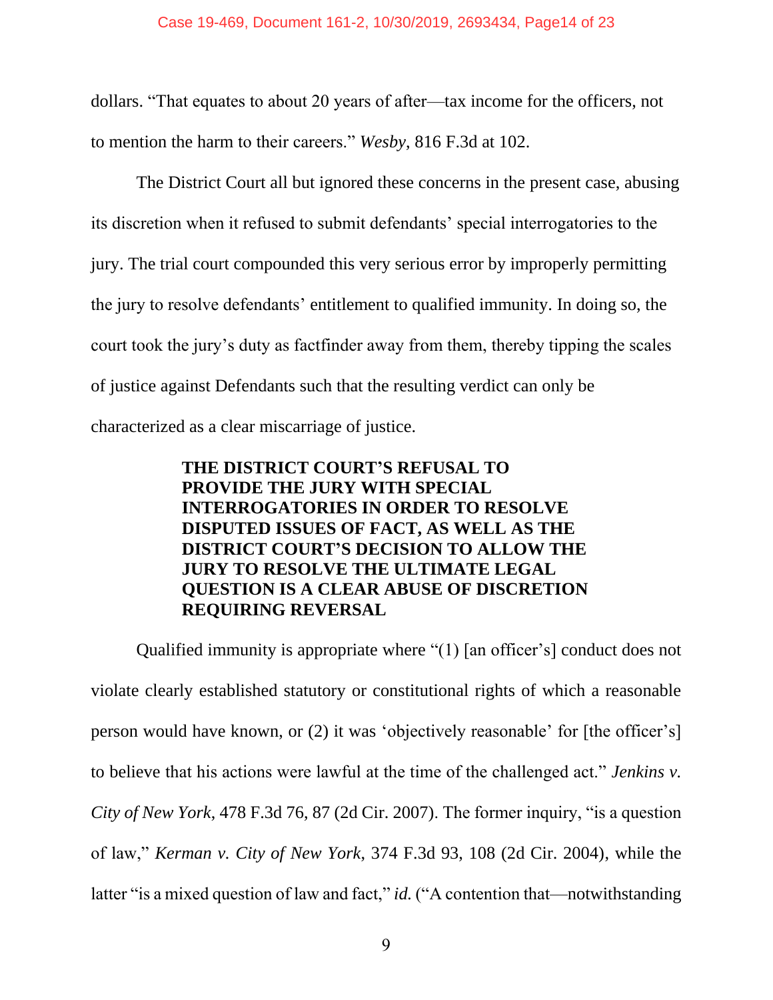dollars. "That equates to about 20 years of after—tax income for the officers, not to mention the harm to their careers." *Wesby*, 816 F.3d at 102.

The District Court all but ignored these concerns in the present case, abusing its discretion when it refused to submit defendants' special interrogatories to the jury. The trial court compounded this very serious error by improperly permitting the jury to resolve defendants' entitlement to qualified immunity. In doing so, the court took the jury's duty as factfinder away from them, thereby tipping the scales of justice against Defendants such that the resulting verdict can only be characterized as a clear miscarriage of justice.

#### **THE DISTRICT COURT'S REFUSAL TO PROVIDE THE JURY WITH SPECIAL INTERROGATORIES IN ORDER TO RESOLVE DISPUTED ISSUES OF FACT, AS WELL AS THE DISTRICT COURT'S DECISION TO ALLOW THE JURY TO RESOLVE THE ULTIMATE LEGAL QUESTION IS A CLEAR ABUSE OF DISCRETION REQUIRING REVERSAL**

Qualified immunity is appropriate where "(1) [an officer's] conduct does not violate clearly established statutory or constitutional rights of which a reasonable person would have known, or (2) it was 'objectively reasonable' for [the officer's] to believe that his actions were lawful at the time of the challenged act." *Jenkins v. City of New York*, 478 F.3d 76, 87 (2d Cir. 2007). The former inquiry, "is a question of law," *Kerman v. City of New York*, 374 F.3d 93, 108 (2d Cir. 2004), while the latter "is a mixed question of law and fact," *id.* ("A contention that—notwithstanding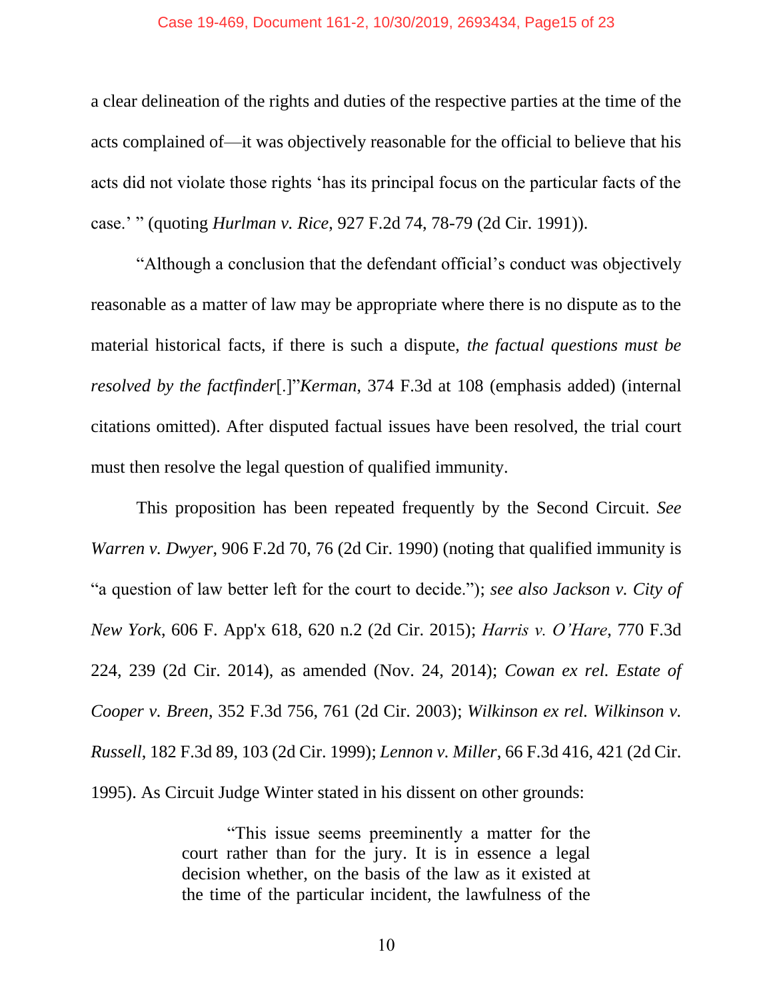#### Case 19-469, Document 161-2, 10/30/2019, 2693434, Page15 of 23

a clear delineation of the rights and duties of the respective parties at the time of the acts complained of—it was objectively reasonable for the official to believe that his acts did not violate those rights 'has its principal focus on the particular facts of the case.' " (quoting *Hurlman v. Rice*, 927 F.2d 74, 78-79 (2d Cir. 1991)).

"Although a conclusion that the defendant official's conduct was objectively reasonable as a matter of law may be appropriate where there is no dispute as to the material historical facts, if there is such a dispute, *the factual questions must be resolved by the factfinder*[.]"*Kerman*, 374 F.3d at 108 (emphasis added) (internal citations omitted). After disputed factual issues have been resolved, the trial court must then resolve the legal question of qualified immunity.

This proposition has been repeated frequently by the Second Circuit. *See Warren v. Dwyer*, 906 F.2d 70, 76 (2d Cir. 1990) (noting that qualified immunity is "a question of law better left for the court to decide."); *see also Jackson v. City of New York*, 606 F. App'x 618, 620 n.2 (2d Cir. 2015); *Harris v. O'Hare*, 770 F.3d 224, 239 (2d Cir. 2014), as amended (Nov. 24, 2014); *Cowan ex rel. Estate of Cooper v. Breen*, 352 F.3d 756, 761 (2d Cir. 2003); *Wilkinson ex rel. Wilkinson v. Russell*, 182 F.3d 89, 103 (2d Cir. 1999); *Lennon v. Miller*, 66 F.3d 416, 421 (2d Cir. 1995). As Circuit Judge Winter stated in his dissent on other grounds:

> "This issue seems preeminently a matter for the court rather than for the jury. It is in essence a legal decision whether, on the basis of the law as it existed at the time of the particular incident, the lawfulness of the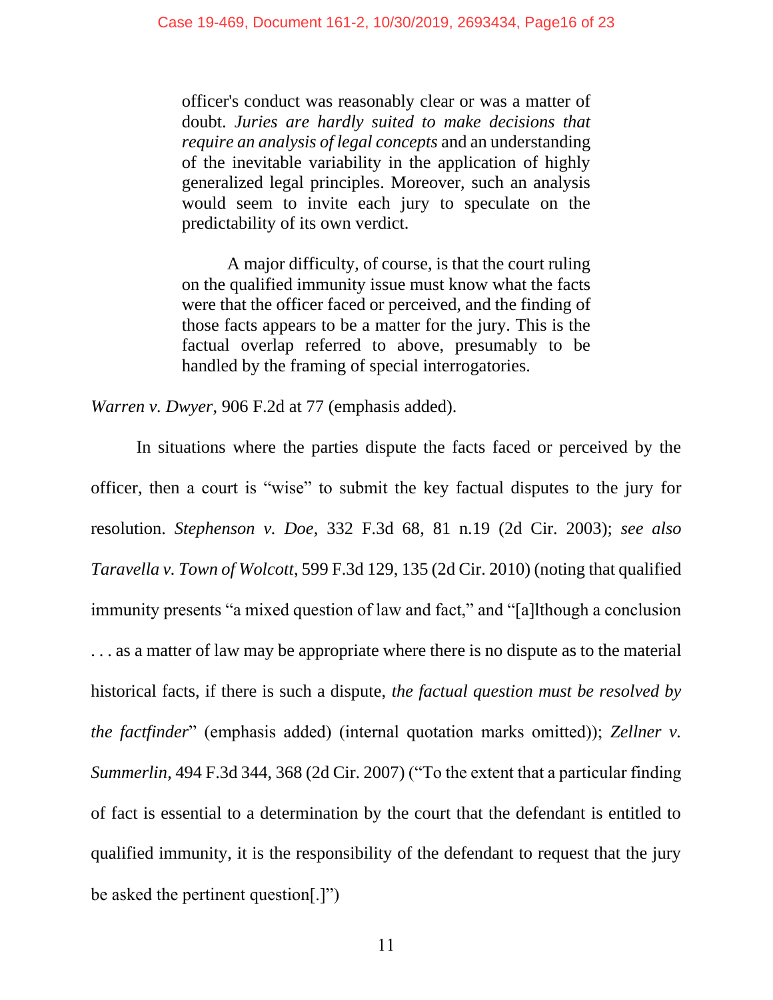officer's conduct was reasonably clear or was a matter of doubt. *Juries are hardly suited to make decisions that require an analysis of legal concepts* and an understanding of the inevitable variability in the application of highly generalized legal principles. Moreover, such an analysis would seem to invite each jury to speculate on the predictability of its own verdict.

A major difficulty, of course, is that the court ruling on the qualified immunity issue must know what the facts were that the officer faced or perceived, and the finding of those facts appears to be a matter for the jury. This is the factual overlap referred to above, presumably to be handled by the framing of special interrogatories.

*Warren v. Dwyer*, 906 F.2d at 77 (emphasis added).

In situations where the parties dispute the facts faced or perceived by the officer, then a court is "wise" to submit the key factual disputes to the jury for resolution. *Stephenson v. Doe*, 332 F.3d 68, 81 n.19 (2d Cir. 2003); *see also Taravella v. Town of Wolcott*, 599 F.3d 129, 135 (2d Cir. 2010) (noting that qualified immunity presents "a mixed question of law and fact," and "[a]lthough a conclusion . . . as a matter of law may be appropriate where there is no dispute as to the material historical facts, if there is such a dispute, *the factual question must be resolved by the factfinder*" (emphasis added) (internal quotation marks omitted)); *Zellner v. Summerlin*, 494 F.3d 344, 368 (2d Cir. 2007) ("To the extent that a particular finding of fact is essential to a determination by the court that the defendant is entitled to qualified immunity, it is the responsibility of the defendant to request that the jury be asked the pertinent question[.]")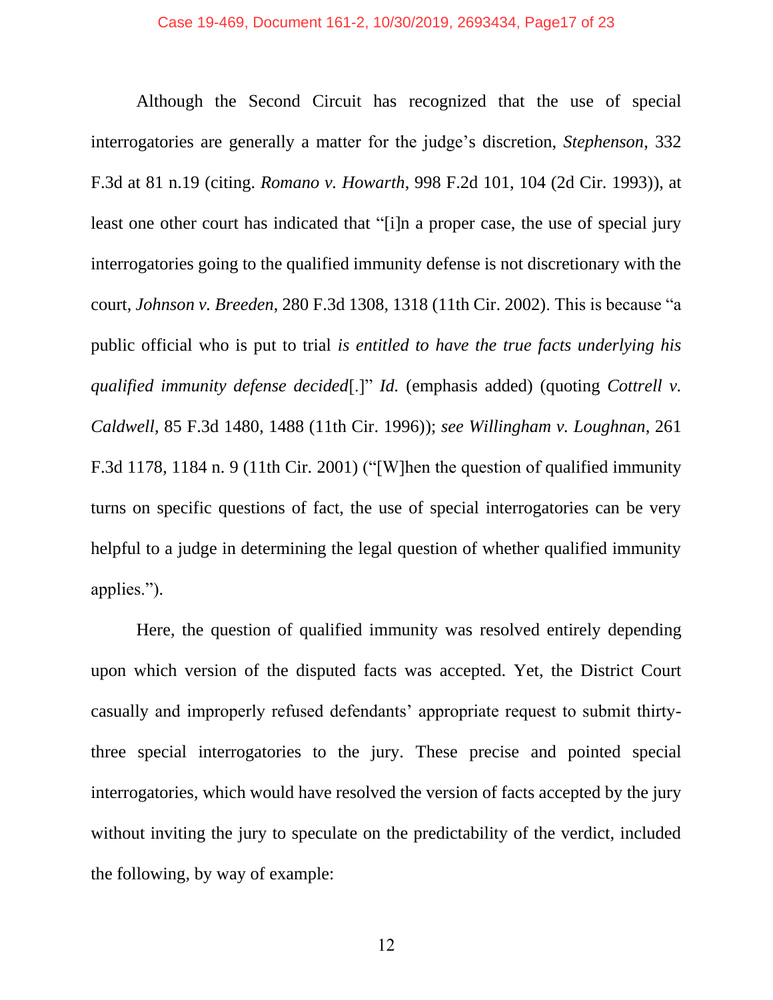Although the Second Circuit has recognized that the use of special interrogatories are generally a matter for the judge's discretion, *Stephenson*, 332 F.3d at 81 n.19 (citing. *Romano v. Howarth*, 998 F.2d 101, 104 (2d Cir. 1993)), at least one other court has indicated that "[i]n a proper case, the use of special jury interrogatories going to the qualified immunity defense is not discretionary with the court, *Johnson v. Breeden*, 280 F.3d 1308, 1318 (11th Cir. 2002). This is because "a public official who is put to trial *is entitled to have the true facts underlying his qualified immunity defense decided*[.]" *Id.* (emphasis added) (quoting *Cottrell v. Caldwell*, 85 F.3d 1480, 1488 (11th Cir. 1996)); *see Willingham v. Loughnan*, 261 F.3d 1178, 1184 n. 9 (11th Cir. 2001) ("[W]hen the question of qualified immunity turns on specific questions of fact, the use of special interrogatories can be very helpful to a judge in determining the legal question of whether qualified immunity applies.").

Here, the question of qualified immunity was resolved entirely depending upon which version of the disputed facts was accepted. Yet, the District Court casually and improperly refused defendants' appropriate request to submit thirtythree special interrogatories to the jury. These precise and pointed special interrogatories, which would have resolved the version of facts accepted by the jury without inviting the jury to speculate on the predictability of the verdict, included the following, by way of example:

12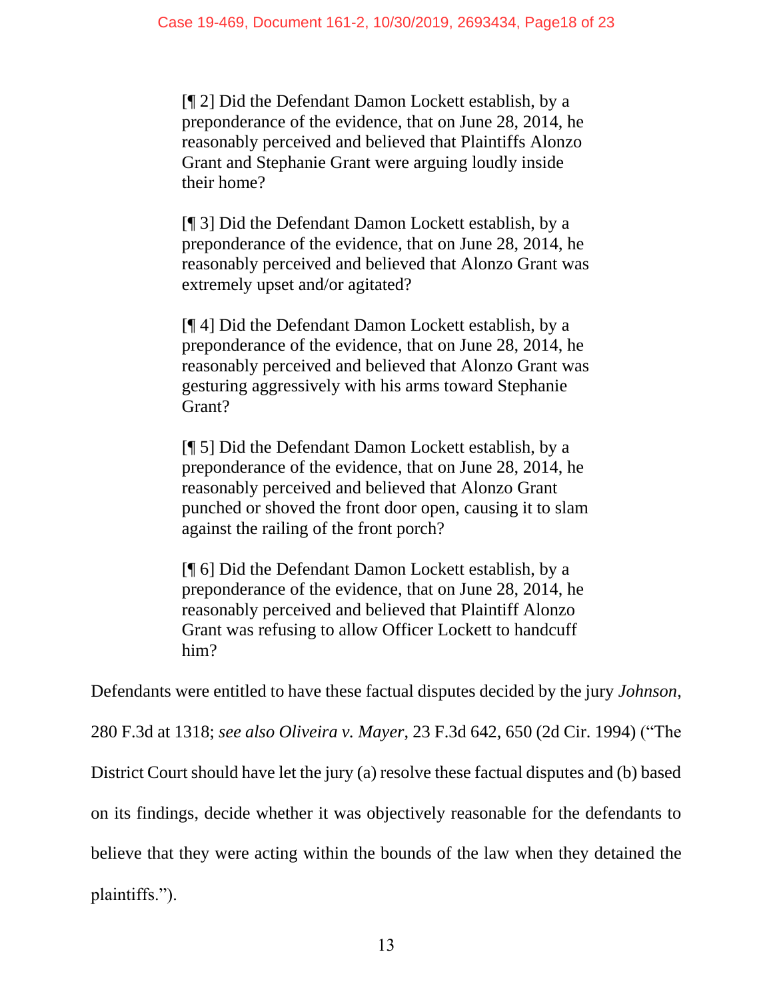[¶ 2] Did the Defendant Damon Lockett establish, by a preponderance of the evidence, that on June 28, 2014, he reasonably perceived and believed that Plaintiffs Alonzo Grant and Stephanie Grant were arguing loudly inside their home?

[¶ 3] Did the Defendant Damon Lockett establish, by a preponderance of the evidence, that on June 28, 2014, he reasonably perceived and believed that Alonzo Grant was extremely upset and/or agitated?

[¶ 4] Did the Defendant Damon Lockett establish, by a preponderance of the evidence, that on June 28, 2014, he reasonably perceived and believed that Alonzo Grant was gesturing aggressively with his arms toward Stephanie Grant?

[¶ 5] Did the Defendant Damon Lockett establish, by a preponderance of the evidence, that on June 28, 2014, he reasonably perceived and believed that Alonzo Grant punched or shoved the front door open, causing it to slam against the railing of the front porch?

[¶ 6] Did the Defendant Damon Lockett establish, by a preponderance of the evidence, that on June 28, 2014, he reasonably perceived and believed that Plaintiff Alonzo Grant was refusing to allow Officer Lockett to handcuff him?

Defendants were entitled to have these factual disputes decided by the jury *Johnson*,

280 F.3d at 1318; *see also Oliveira v. Mayer*, 23 F.3d 642, 650 (2d Cir. 1994) ("The

District Court should have let the jury (a) resolve these factual disputes and (b) based

on its findings, decide whether it was objectively reasonable for the defendants to

believe that they were acting within the bounds of the law when they detained the

plaintiffs.").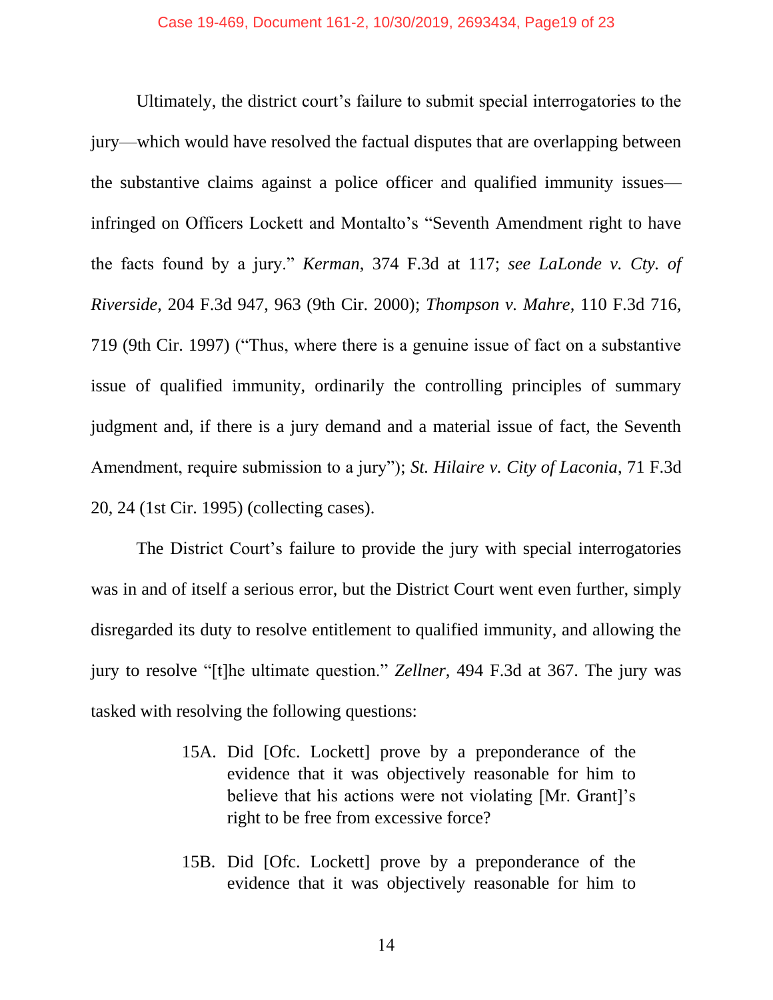Ultimately, the district court's failure to submit special interrogatories to the jury—which would have resolved the factual disputes that are overlapping between the substantive claims against a police officer and qualified immunity issues infringed on Officers Lockett and Montalto's "Seventh Amendment right to have the facts found by a jury." *Kerman*, 374 F.3d at 117; *see LaLonde v. Cty. of Riverside*, 204 F.3d 947, 963 (9th Cir. 2000); *Thompson v. Mahre*, 110 F.3d 716, 719 (9th Cir. 1997) ("Thus, where there is a genuine issue of fact on a substantive issue of qualified immunity, ordinarily the controlling principles of summary judgment and, if there is a jury demand and a material issue of fact, the Seventh Amendment, require submission to a jury"); *St. Hilaire v. City of Laconia*, 71 F.3d 20, 24 (1st Cir. 1995) (collecting cases).

The District Court's failure to provide the jury with special interrogatories was in and of itself a serious error, but the District Court went even further, simply disregarded its duty to resolve entitlement to qualified immunity, and allowing the jury to resolve "[t]he ultimate question." *Zellner*, 494 F.3d at 367. The jury was tasked with resolving the following questions:

- 15A. Did [Ofc. Lockett] prove by a preponderance of the evidence that it was objectively reasonable for him to believe that his actions were not violating [Mr. Grant]'s right to be free from excessive force?
- 15B. Did [Ofc. Lockett] prove by a preponderance of the evidence that it was objectively reasonable for him to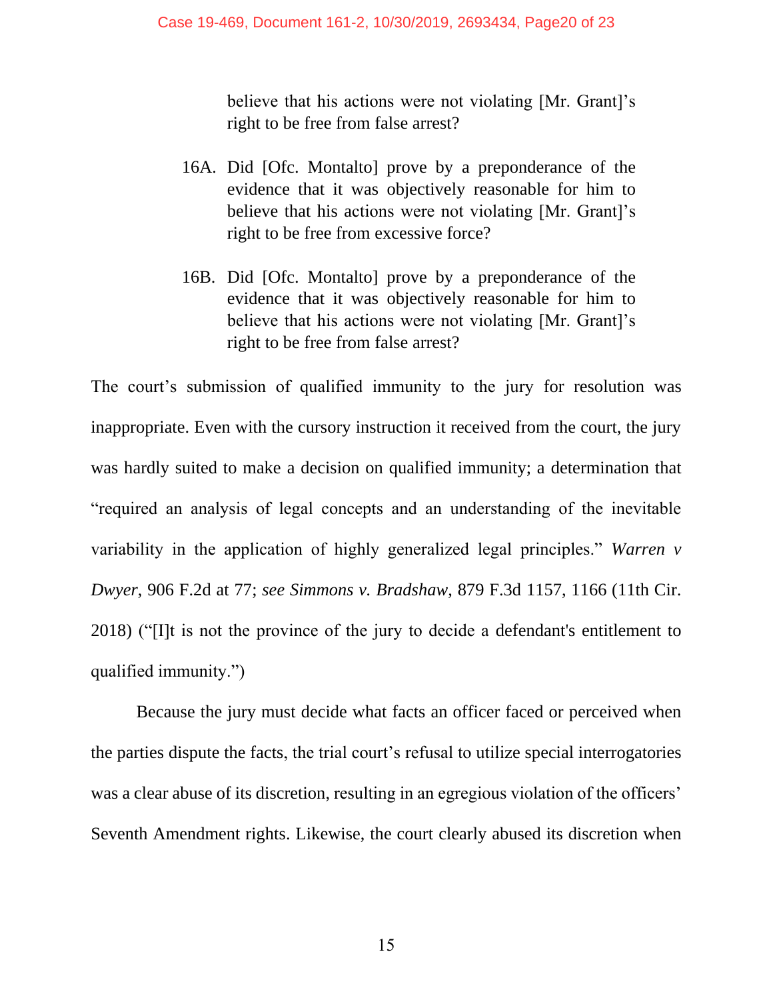believe that his actions were not violating [Mr. Grant]'s right to be free from false arrest?

- 16A. Did [Ofc. Montalto] prove by a preponderance of the evidence that it was objectively reasonable for him to believe that his actions were not violating [Mr. Grant]'s right to be free from excessive force?
- 16B. Did [Ofc. Montalto] prove by a preponderance of the evidence that it was objectively reasonable for him to believe that his actions were not violating [Mr. Grant]'s right to be free from false arrest?

The court's submission of qualified immunity to the jury for resolution was inappropriate. Even with the cursory instruction it received from the court, the jury was hardly suited to make a decision on qualified immunity; a determination that "required an analysis of legal concepts and an understanding of the inevitable variability in the application of highly generalized legal principles." *Warren v Dwyer*, 906 F.2d at 77; *see Simmons v. Bradshaw*, 879 F.3d 1157, 1166 (11th Cir. 2018) ("[I]t is not the province of the jury to decide a defendant's entitlement to qualified immunity.")

Because the jury must decide what facts an officer faced or perceived when the parties dispute the facts, the trial court's refusal to utilize special interrogatories was a clear abuse of its discretion, resulting in an egregious violation of the officers' Seventh Amendment rights. Likewise, the court clearly abused its discretion when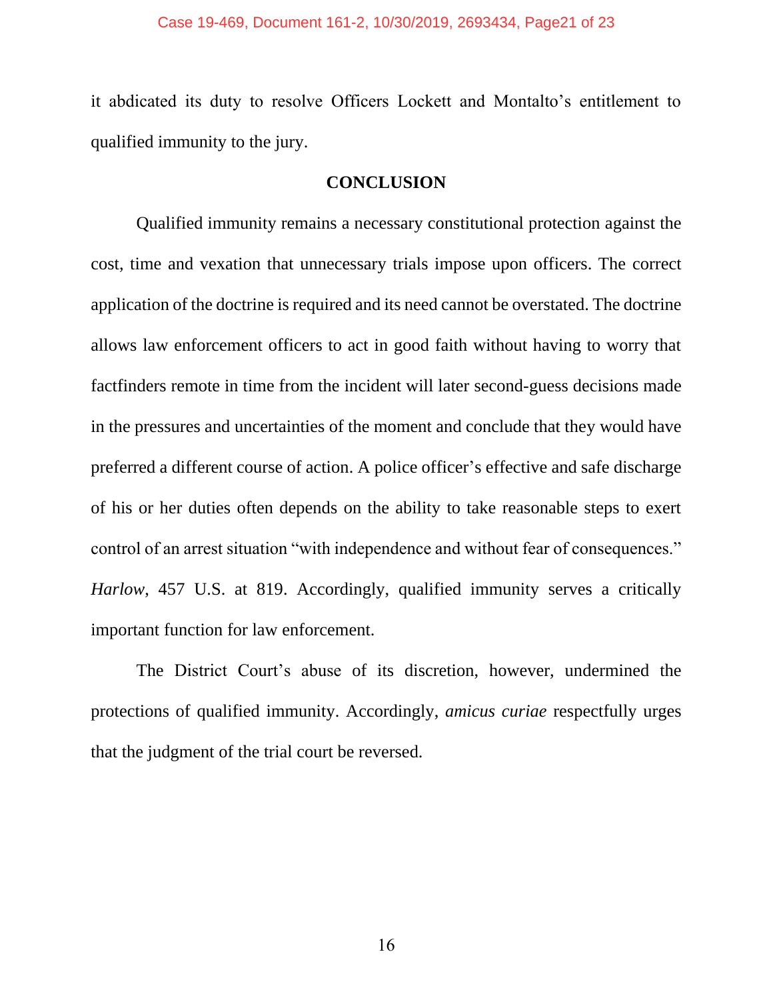it abdicated its duty to resolve Officers Lockett and Montalto's entitlement to qualified immunity to the jury.

#### **CONCLUSION**

Qualified immunity remains a necessary constitutional protection against the cost, time and vexation that unnecessary trials impose upon officers. The correct application of the doctrine is required and its need cannot be overstated. The doctrine allows law enforcement officers to act in good faith without having to worry that factfinders remote in time from the incident will later second-guess decisions made in the pressures and uncertainties of the moment and conclude that they would have preferred a different course of action. A police officer's effective and safe discharge of his or her duties often depends on the ability to take reasonable steps to exert control of an arrest situation "with independence and without fear of consequences." *Harlow*, 457 U.S. at 819. Accordingly, qualified immunity serves a critically important function for law enforcement.

The District Court's abuse of its discretion, however, undermined the protections of qualified immunity. Accordingly, *amicus curiae* respectfully urges that the judgment of the trial court be reversed.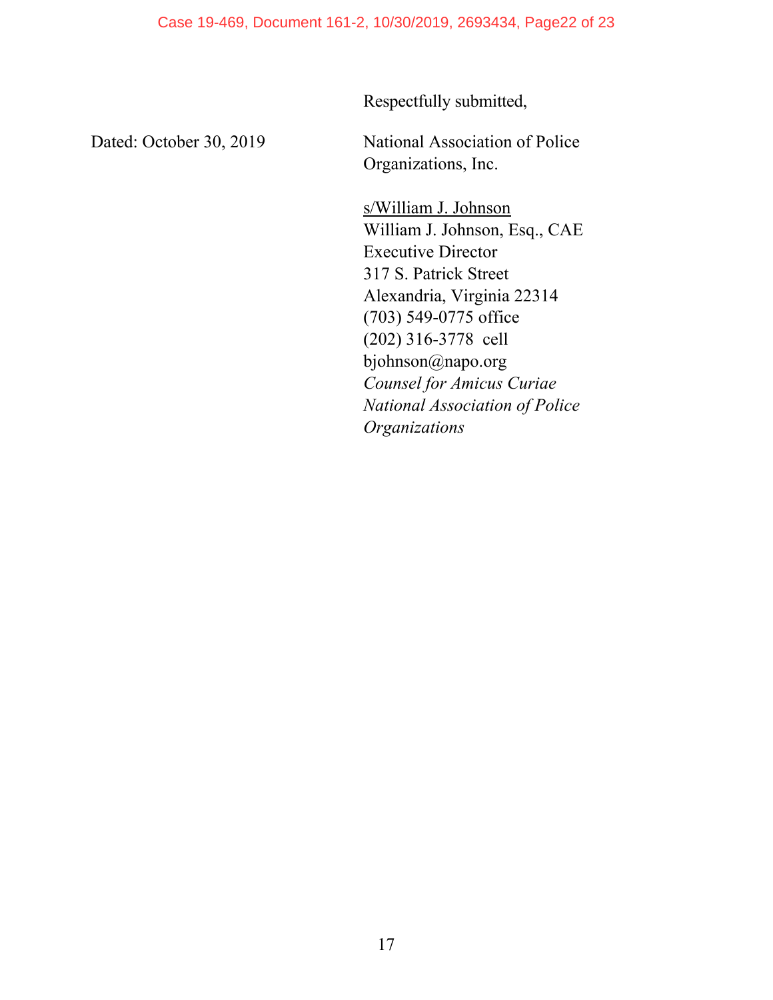Respectfully submitted,

Dated: October 30, 2019 National Association of Police Organizations, Inc.

> s/William J. Johnson William J. Johnson, Esq., CAE Executive Director 317 S. Patrick Street Alexandria, Virginia 22314 (703) 549-0775 office (202) 316-3778 cell bjohnson@napo.org *Counsel for Amicus Curiae National Association of Police Organizations*